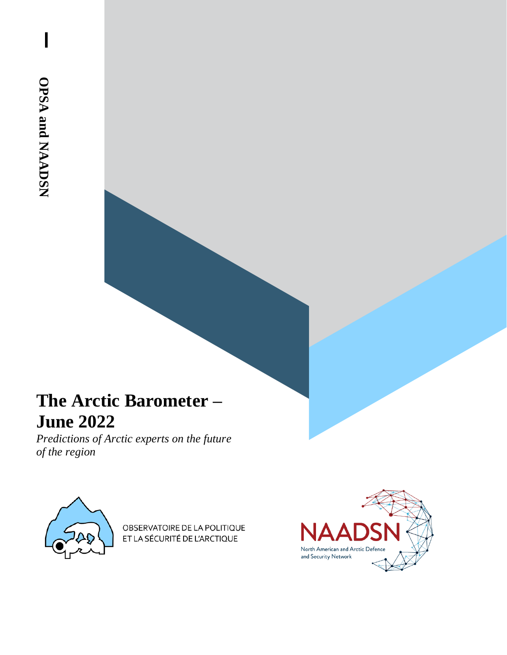$\overline{\phantom{a}}$ 

# **The Arctic Barometer – June 2022**

*Predictions of Arctic experts on the future of the region* 



OBSERVATOIRE DE LA POLITIQUE ET LA SÉCURITÉ DE L'ARCTIQUE

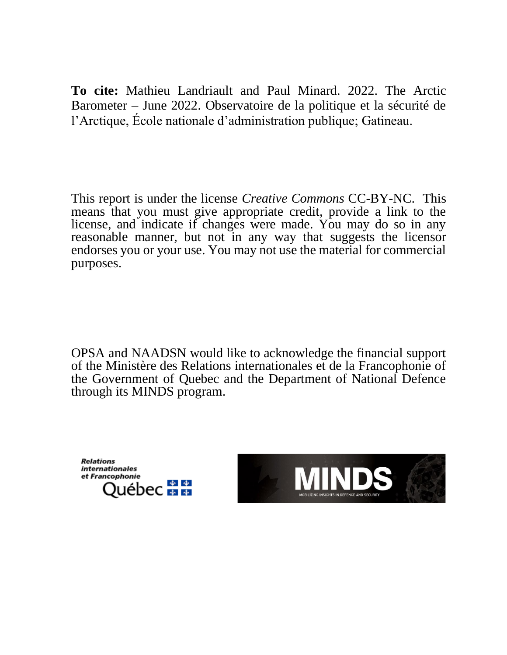**To cite:** Mathieu Landriault and Paul Minard. 2022. The Arctic Barometer – June 2022. Observatoire de la politique et la sécurité de l'Arctique, École nationale d'administration publique; Gatineau.

This report is under the license *Creative Commons* CC-BY-NC. This means that you must give appropriate credit, provide a link to the license, and indicate if changes were made. You may do so in any reasonable manner, but not in any way that suggests the licensor endorses you or your use. You may not use the material for commercial purposes.

OPSA and NAADSN would like to acknowledge the financial support of the Ministère des Relations internationales et de la Francophonie of the Government of Quebec and the Department of National Defence through its MINDS program.

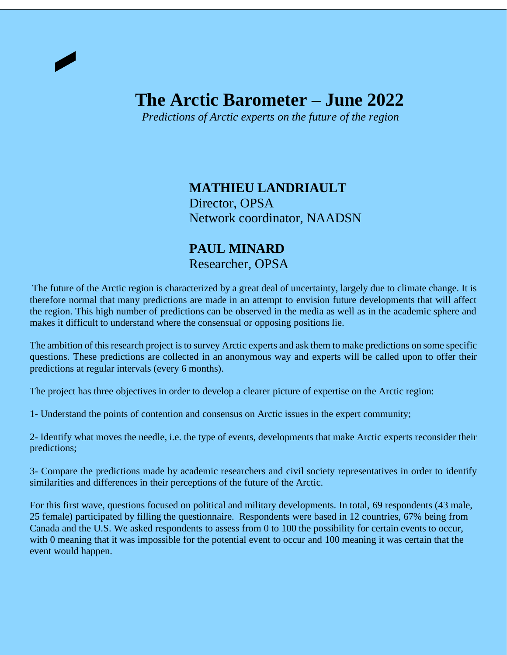# **The Arctic Barometer – June 2022**

 *Predictions of Arctic experts on the future of the region*

**MATHIEU LANDRIAULT** Director, OPSA Network coordinator, NAADSN

#### **PAUL MINARD** Researcher, OPSA

The future of the Arctic region is characterized by a great deal of uncertainty, largely due to climate change. It is therefore normal that many predictions are made in an attempt to envision future developments that will affect the region. This high number of predictions can be observed in the media as well as in the academic sphere and makes it difficult to understand where the consensual or opposing positions lie.

The ambition of this research project is to survey Arctic experts and ask them to make predictions on some specific questions. These predictions are collected in an anonymous way and experts will be called upon to offer their predictions at regular intervals (every 6 months).

The project has three objectives in order to develop a clearer picture of expertise on the Arctic region:

1- Understand the points of contention and consensus on Arctic issues in the expert community;

2- Identify what moves the needle, i.e. the type of events, developments that make Arctic experts reconsider their predictions;

3- Compare the predictions made by academic researchers and civil society representatives in order to identify similarities and differences in their perceptions of the future of the Arctic.

For this first wave, questions focused on political and military developments. In total, 69 respondents (43 male, 25 female) participated by filling the questionnaire. Respondents were based in 12 countries, 67% being from Canada and the U.S. We asked respondents to assess from 0 to 100 the possibility for certain events to occur, with 0 meaning that it was impossible for the potential event to occur and 100 meaning it was certain that the event would happen.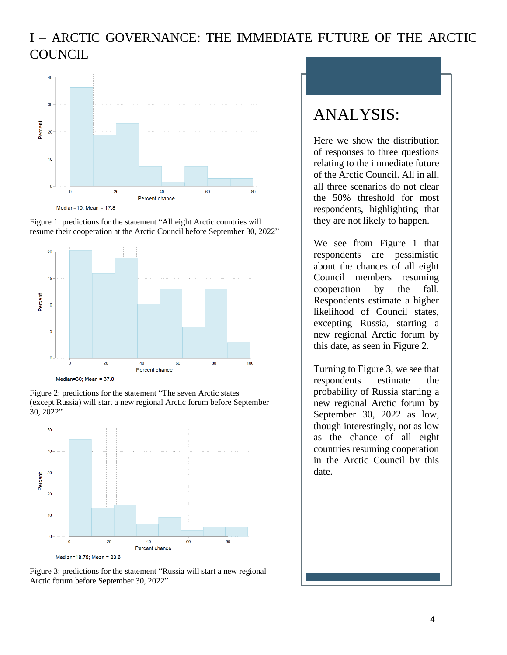### I – ARCTIC GOVERNANCE: THE IMMEDIATE FUTURE OF THE ARCTIC **COUNCIL**



Figure 1: predictions for the statement "All eight Arctic countries will resume their cooperation at the Arctic Council before September 30, 2022"



Figure 2: predictions for the statement "The seven Arctic states (except Russia) will start a new regional Arctic forum before September 30, 2022"





## ANALYSIS:

Here we show the distribution of responses to three questions relating to the immediate future of the Arctic Council. All in all, all three scenarios do not clear the 50% threshold for most respondents, highlighting that they are not likely to happen.

We see from Figure 1 that respondents are pessimistic about the chances of all eight Council members resuming cooperation by the fall. Respondents estimate a higher likelihood of Council states, excepting Russia, starting a new regional Arctic forum by this date, as seen in Figure 2.

Turning to Figure 3, we see that respondents estimate the probability of Russia starting a new regional Arctic forum by September 30, 2022 as low, though interestingly, not as low as the chance of all eight countries resuming cooperation in the Arctic Council by this date.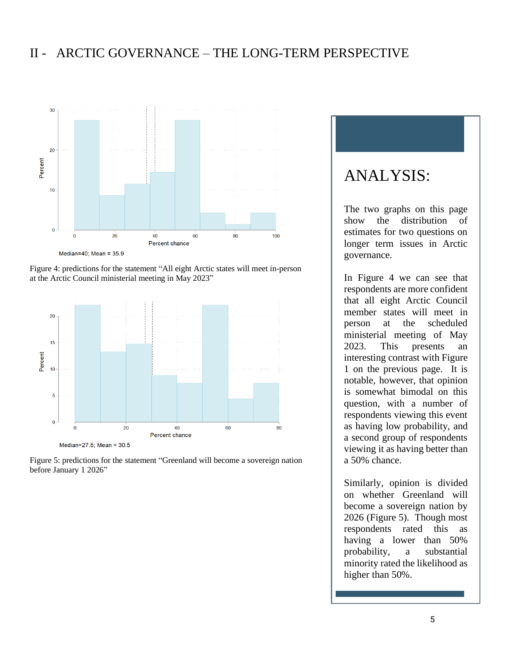#### II - ARCTIC GOVERNANCE – THE LONG-TERM PERSPECTIVE



Figure 4: predictions for the statement "All eight Arctic states will meet in-person at the Arctic Council ministerial meeting in May 2023"



Figure 5: predictions for the statement "Greenland will become a sovereign nation before January 1 2026"

### ANALYSIS:

The two graphs on this page show the distribution of estimates for two questions on longer term issues in Arctic governance.

In Figure 4 we can see that respondents are more confident that all eight Arctic Council member states will meet in person at the scheduled ministerial meeting of May 2023. This presents an interesting contrast with Figure 1 on the previous page. It is notable, however, that opinion is somewhat bimodal on this question, with a number of respondents viewing this event as having low probability, and a second group of respondents viewing it as having better than a 50% chance.

Similarly, opinion is divided on whether Greenland will become a sovereign nation by 2026 (Figure 5). Though most respondents rated this as having a lower than 50% probability, a substantial minority rated the likelihood as higher than 50%.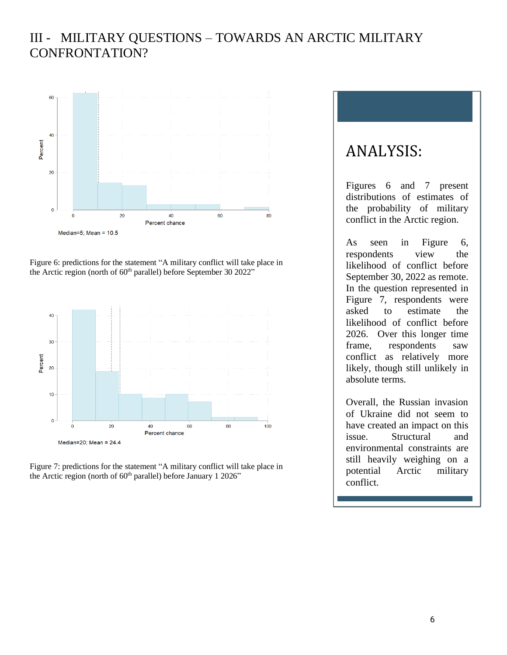### III - MILITARY QUESTIONS – TOWARDS AN ARCTIC MILITARY CONFRONTATION?



Figure 6: predictions for the statement "A military conflict will take place in the Arctic region (north of 60<sup>th</sup> parallel) before September 30 2022"



Figure 7: predictions for the statement "A military conflict will take place in the Arctic region (north of 60<sup>th</sup> parallel) before January 1 2026"

## ANALYSIS:

Figures 6 and 7 present distributions of estimates of the probability of military conflict in the Arctic region.

As seen in Figure 6, respondents view the likelihood of conflict before September 30, 2022 as remote. In the question represented in Figure 7, respondents were asked to estimate the likelihood of conflict before 2026. Over this longer time frame, respondents saw conflict as relatively more likely, though still unlikely in absolute terms.

Overall, the Russian invasion of Ukraine did not seem to have created an impact on this issue. Structural and environmental constraints are still heavily weighing on a potential Arctic military conflict.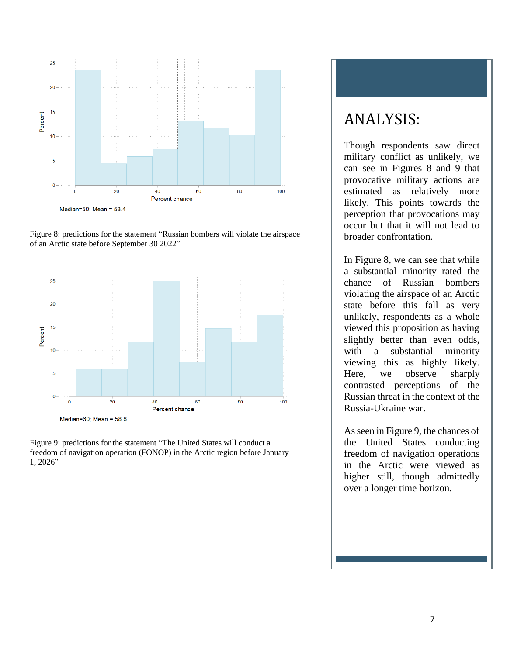

Figure 8: predictions for the statement "Russian bombers will violate the airspace of an Arctic state before September 30 2022"



Figure 9: predictions for the statement "The United States will conduct a freedom of navigation operation (FONOP) in the Arctic region before January 1, 2026"

## ANALYSIS:

Though respondents saw direct military conflict as unlikely, we can see in Figures 8 and 9 that provocative military actions are estimated as relatively more likely. This points towards the perception that provocations may occur but that it will not lead to broader confrontation.

In Figure 8, we can see that while a substantial minority rated the chance of Russian bombers violating the airspace of an Arctic state before this fall as very unlikely, respondents as a whole viewed this proposition as having slightly better than even odds, with a substantial minority viewing this as highly likely. Here, we observe sharply contrasted perceptions of the Russian threat in the context of the Russia-Ukraine war.

As seen in Figure 9, the chances of the United States conducting freedom of navigation operations in the Arctic were viewed as higher still, though admittedly over a longer time horizon.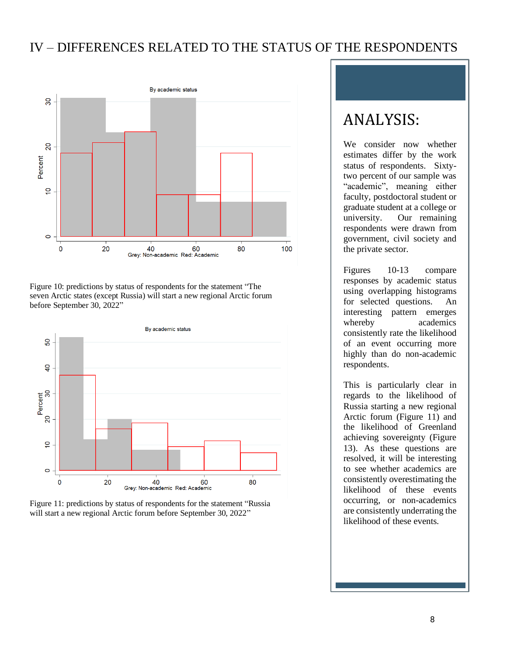#### IV – DIFFERENCES RELATED TO THE STATUS OF THE RESPONDENTS



Figure 10: predictions by status of respondents for the statement "The seven Arctic states (except Russia) will start a new regional Arctic forum before September 30, 2022"





## ANALYSIS:

We consider now whether estimates differ by the work status of respondents. Sixtytwo percent of our sample was "academic", meaning either faculty, postdoctoral student or graduate student at a college or university. Our remaining respondents were drawn from government, civil society and the private sector.

Figures 10-13 compare responses by academic status using overlapping histograms for selected questions. An interesting pattern emerges whereby academics consistently rate the likelihood of an event occurring more highly than do non-academic respondents.

This is particularly clear in regards to the likelihood of Russia starting a new regional Arctic forum (Figure 11) and the likelihood of Greenland achieving sovereignty (Figure 13). As these questions are resolved, it will be interesting to see whether academics are consistently overestimating the likelihood of these events occurring, or non-academics are consistently underrating the likelihood of these events.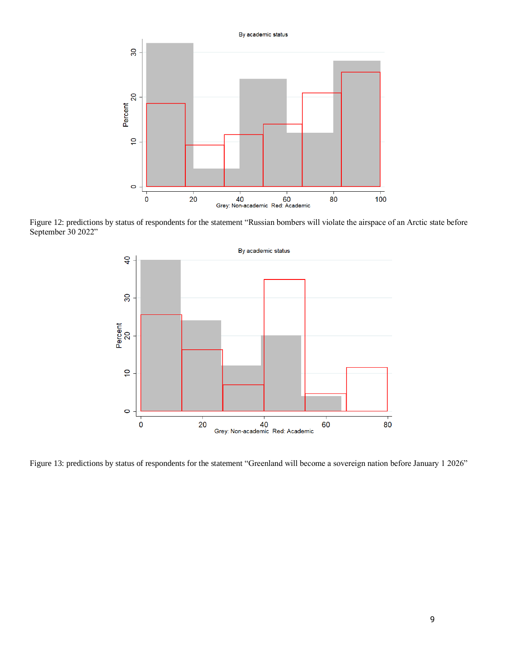

Figure 12: predictions by status of respondents for the statement "Russian bombers will violate the airspace of an Arctic state before September 30 2022"



Figure 13: predictions by status of respondents for the statement "Greenland will become a sovereign nation before January 1 2026"